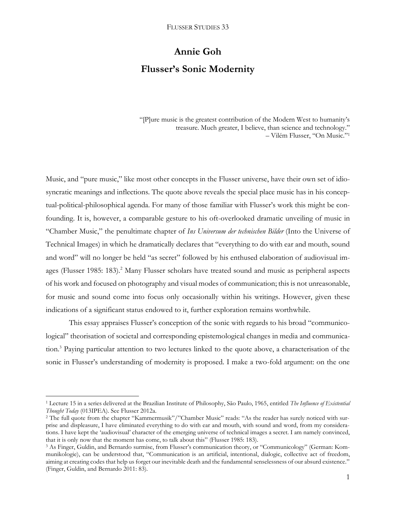# **Annie Goh Flusser's Sonic Modernity**

"[P]ure music is the greatest contribution of the Modern West to humanity's treasure. Much greater, I believe, than science and technology." – Vilém Flusser, "On Music."<sup>1</sup>

Music, and "pure music," like most other concepts in the Flusser universe, have their own set of idiosyncratic meanings and inflections. The quote above reveals the special place music has in his conceptual-political-philosophical agenda. For many of those familiar with Flusser's work this might be confounding. It is, however, a comparable gesture to his oft-overlooked dramatic unveiling of music in "Chamber Music," the penultimate chapter of *Ins Universum der technischen Bilder* (Into the Universe of Technical Images) in which he dramatically declares that "everything to do with ear and mouth, sound and word" will no longer be held "as secret" followed by his enthused elaboration of audiovisual images (Flusser 1985: 183).<sup>2</sup> Many Flusser scholars have treated sound and music as peripheral aspects of his work and focused on photography and visual modes of communication; this is not unreasonable, for music and sound come into focus only occasionally within his writings. However, given these indications of a significant status endowed to it, further exploration remains worthwhile.

This essay appraises Flusser's conception of the sonic with regards to his broad "communicological" theorisation of societal and corresponding epistemological changes in media and communication.<sup>3</sup> Paying particular attention to two lectures linked to the quote above, a characterisation of the sonic in Flusser's understanding of modernity is proposed. I make a two-fold argument: on the one

l

<sup>1</sup> Lecture 15 in a series delivered at the Brazilian Institute of Philosophy, São Paulo, 1965, entitled *The Influence of Existential Thought Today* (013IPEA). See Flusser 2012a.

<sup>2</sup> The full quote from the chapter "Kammermusik"/"Chamber Music" reads: "As the reader has surely noticed with surprise and displeasure, I have eliminated everything to do with ear and mouth, with sound and word, from my considerations. I have kept the 'audiovisual' character of the emerging universe of technical images a secret. I am namely convinced, that it is only now that the moment has come, to talk about this" (Flusser 1985: 183).

<sup>3</sup> As Finger, Guldin, and Bernardo surmise, from Flusser's communication theory, or "Communicology" (German: Kommunikologie), can be understood that, "Communication is an artificial, intentional, dialogic, collective act of freedom, aiming at creating codes that help us forget our inevitable death and the fundamental senselessness of our absurd existence." (Finger, Guldin, and Bernardo 2011: 83).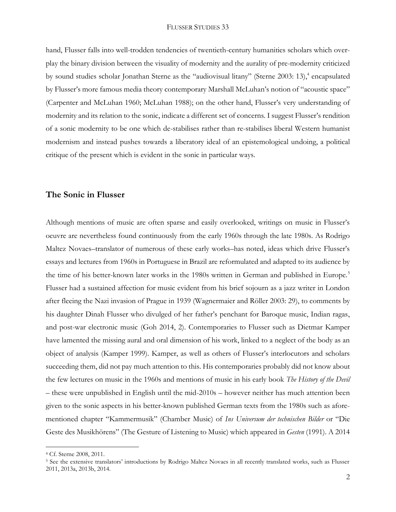hand, Flusser falls into well-trodden tendencies of twentieth-century humanities scholars which overplay the binary division between the visuality of modernity and the aurality of pre-modernity criticized by sound studies scholar Jonathan Sterne as the "audiovisual litany" (Sterne 2003: 13),<sup>4</sup> encapsulated by Flusser's more famous media theory contemporary Marshall McLuhan's notion of "acoustic space" (Carpenter and McLuhan 1960; McLuhan 1988); on the other hand, Flusser's very understanding of modernity and its relation to the sonic, indicate a different set of concerns. I suggest Flusser's rendition of a sonic modernity to be one which de-stabilises rather than re-stabilises liberal Western humanist modernism and instead pushes towards a liberatory ideal of an epistemological undoing, a political critique of the present which is evident in the sonic in particular ways.

## **The Sonic in Flusser**

Although mentions of music are often sparse and easily overlooked, writings on music in Flusser's oeuvre are nevertheless found continuously from the early 1960s through the late 1980s. As Rodrigo Maltez Novaes–translator of numerous of these early works–has noted, ideas which drive Flusser's essays and lectures from 1960s in Portuguese in Brazil are reformulated and adapted to its audience by the time of his better-known later works in the 1980s written in German and published in Europe.<sup>5</sup> Flusser had a sustained affection for music evident from his brief sojourn as a jazz writer in London after fleeing the Nazi invasion of Prague in 1939 (Wagnermaier and Röller 2003: 29), to comments by his daughter Dinah Flusser who divulged of her father's penchant for Baroque music, Indian ragas, and post-war electronic music (Goh 2014, 2). Contemporaries to Flusser such as Dietmar Kamper have lamented the missing aural and oral dimension of his work, linked to a neglect of the body as an object of analysis (Kamper 1999). Kamper, as well as others of Flusser's interlocutors and scholars succeeding them, did not pay much attention to this. His contemporaries probably did not know about the few lectures on music in the 1960s and mentions of music in his early book *The History of the Devil –* these were unpublished in English until the mid-2010s – however neither has much attention been given to the sonic aspects in his better-known published German texts from the 1980s such as aforementioned chapter "Kammermusik" (Chamber Music) of *Ins Universum der technischen Bilder* or "Die Geste des Musikhörens" (The Gesture of Listening to Music) which appeared in *Gesten* (1991). A 2014

 $\overline{a}$ 

<sup>4</sup> Cf. Sterne 2008, 2011.

<sup>5</sup> See the extensive translators' introductions by Rodrigo Maltez Novaes in all recently translated works, such as Flusser 2011, 2013a, 2013b, 2014.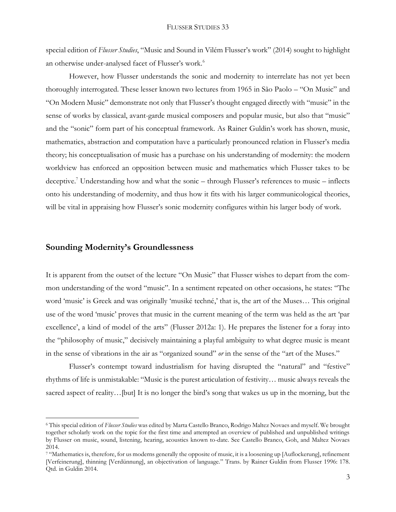special edition of *Flusser Studies*, "Music and Sound in Vilém Flusser's work" (2014) sought to highlight an otherwise under-analysed facet of Flusser's work.<sup>6</sup>

However, how Flusser understands the sonic and modernity to interrelate has not yet been thoroughly interrogated. These lesser known two lectures from 1965 in São Paolo – "On Music" and "On Modern Music" demonstrate not only that Flusser's thought engaged directly with "music" in the sense of works by classical, avant-garde musical composers and popular music, but also that "music" and the "sonic" form part of his conceptual framework. As Rainer Guldin's work has shown, music, mathematics, abstraction and computation have a particularly pronounced relation in Flusser's media theory; his conceptualisation of music has a purchase on his understanding of modernity: the modern worldview has enforced an opposition between music and mathematics which Flusser takes to be deceptive.<sup>7</sup> Understanding how and what the sonic – through Flusser's references to music – inflects onto his understanding of modernity, and thus how it fits with his larger communicological theories, will be vital in appraising how Flusser's sonic modernity configures within his larger body of work.

# **Sounding Modernity's Groundlessness**

 $\overline{a}$ 

It is apparent from the outset of the lecture "On Music" that Flusser wishes to depart from the common understanding of the word "music". In a sentiment repeated on other occasions, he states: "The word 'music' is Greek and was originally 'musiké techné,' that is, the art of the Muses… This original use of the word 'music' proves that music in the current meaning of the term was held as the art 'par excellence', a kind of model of the arts" (Flusser 2012a: 1). He prepares the listener for a foray into the "philosophy of music," decisively maintaining a playful ambiguity to what degree music is meant in the sense of vibrations in the air as "organized sound" *or* in the sense of the "art of the Muses."

Flusser's contempt toward industrialism for having disrupted the "natural" and "festive" rhythms of life is unmistakable: "Music is the purest articulation of festivity… music always reveals the sacred aspect of reality... [but] It is no longer the bird's song that wakes us up in the morning, but the

<sup>6</sup> This special edition of *Flusser Studies* was edited by Marta Castello Branco, Rodrigo Maltez Novaes and myself. We brought together scholarly work on the topic for the first time and attempted an overview of published and unpublished writings by Flusser on music, sound, listening, hearing, acoustics known to-date. See Castello Branco, Goh, and Maltez Novaes 2014.

<sup>7</sup> "Mathematics is, therefore, for us moderns generally the opposite of music, it is a loosening up [Auflockerung], refinement [Verfeinerung], thinning [Verdünnung], an objectivation of language." Trans. by Rainer Guldin from Flusser 1996: 178. Qtd. in Guldin 2014.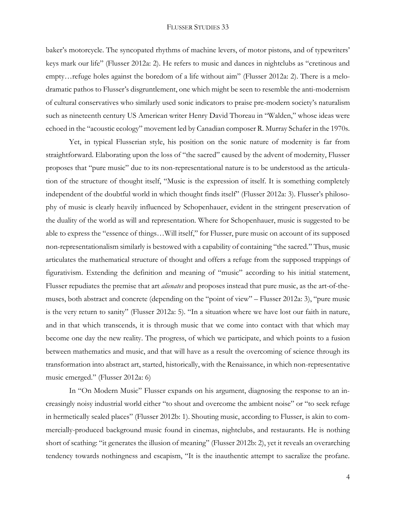baker's motorcycle. The syncopated rhythms of machine levers, of motor pistons, and of typewriters' keys mark our life" (Flusser 2012a: 2). He refers to music and dances in nightclubs as "cretinous and empty…refuge holes against the boredom of a life without aim" (Flusser 2012a: 2). There is a melodramatic pathos to Flusser's disgruntlement, one which might be seen to resemble the anti-modernism of cultural conservatives who similarly used sonic indicators to praise pre-modern society's naturalism such as nineteenth century US American writer Henry David Thoreau in "Walden," whose ideas were echoed in the "acoustic ecology" movement led by Canadian composer R. Murray Schafer in the 1970s.

Yet, in typical Flusserian style, his position on the sonic nature of modernity is far from straightforward. Elaborating upon the loss of "the sacred" caused by the advent of modernity, Flusser proposes that "pure music" due to its non-representational nature is to be understood as the articulation of the structure of thought itself, "Music is the expression of itself. It is something completely independent of the doubtful world in which thought finds itself" (Flusser 2012a: 3). Flusser's philosophy of music is clearly heavily influenced by Schopenhauer, evident in the stringent preservation of the duality of the world as will and representation. Where for Schopenhauer, music is suggested to be able to express the "essence of things…Will itself," for Flusser, pure music on account of its supposed non-representationalism similarly is bestowed with a capability of containing "the sacred." Thus, music articulates the mathematical structure of thought and offers a refuge from the supposed trappings of figurativism. Extending the definition and meaning of "music" according to his initial statement, Flusser repudiates the premise that art *alienates* and proposes instead that pure music, as the art-of-themuses, both abstract and concrete (depending on the "point of view" – Flusser 2012a: 3), "pure music is the very return to sanity" (Flusser 2012a: 5). "In a situation where we have lost our faith in nature, and in that which transcends, it is through music that we come into contact with that which may become one day the new reality. The progress, of which we participate, and which points to a fusion between mathematics and music, and that will have as a result the overcoming of science through its transformation into abstract art, started, historically, with the Renaissance, in which non-representative music emerged." (Flusser 2012a: 6)

In "On Modern Music" Flusser expands on his argument, diagnosing the response to an increasingly noisy industrial world either "to shout and overcome the ambient noise" or "to seek refuge in hermetically sealed places" (Flusser 2012b: 1). Shouting music, according to Flusser, is akin to commercially-produced background music found in cinemas, nightclubs, and restaurants. He is nothing short of scathing: "it generates the illusion of meaning" (Flusser 2012b: 2), yet it reveals an overarching tendency towards nothingness and escapism, "It is the inauthentic attempt to sacralize the profane.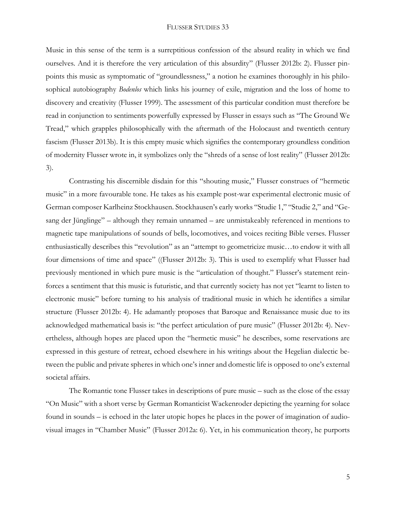Music in this sense of the term is a surreptitious confession of the absurd reality in which we find ourselves. And it is therefore the very articulation of this absurdity" (Flusser 2012b: 2). Flusser pinpoints this music as symptomatic of "groundlessness," a notion he examines thoroughly in his philosophical autobiography *Bodenlos* which links his journey of exile, migration and the loss of home to discovery and creativity (Flusser 1999). The assessment of this particular condition must therefore be read in conjunction to sentiments powerfully expressed by Flusser in essays such as "The Ground We Tread," which grapples philosophically with the aftermath of the Holocaust and twentieth century fascism (Flusser 2013b). It is this empty music which signifies the contemporary groundless condition of modernity Flusser wrote in, it symbolizes only the "shreds of a sense of lost reality" (Flusser 2012b: 3).

Contrasting his discernible disdain for this "shouting music," Flusser construes of "hermetic music" in a more favourable tone. He takes as his example post-war experimental electronic music of German composer Karlheinz Stockhausen. Stockhausen's early works "Studie 1," "Studie 2," and "Gesang der Jünglinge" – although they remain unnamed – are unmistakeably referenced in mentions to magnetic tape manipulations of sounds of bells, locomotives, and voices reciting Bible verses. Flusser enthusiastically describes this "revolution" as an "attempt to geometricize music…to endow it with all four dimensions of time and space" ((Flusser 2012b: 3). This is used to exemplify what Flusser had previously mentioned in which pure music is the "articulation of thought." Flusser's statement reinforces a sentiment that this music is futuristic, and that currently society has not yet "learnt to listen to electronic music" before turning to his analysis of traditional music in which he identifies a similar structure (Flusser 2012b: 4). He adamantly proposes that Baroque and Renaissance music due to its acknowledged mathematical basis is: "the perfect articulation of pure music" (Flusser 2012b: 4). Nevertheless, although hopes are placed upon the "hermetic music" he describes, some reservations are expressed in this gesture of retreat, echoed elsewhere in his writings about the Hegelian dialectic between the public and private spheres in which one's inner and domestic life is opposed to one's external societal affairs.

The Romantic tone Flusser takes in descriptions of pure music – such as the close of the essay "On Music" with a short verse by German Romanticist Wackenroder depicting the yearning for solace found in sounds – is echoed in the later utopic hopes he places in the power of imagination of audiovisual images in "Chamber Music" (Flusser 2012a: 6). Yet, in his communication theory, he purports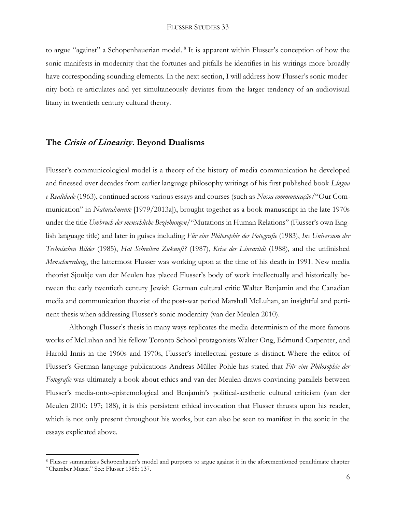to argue "against" a Schopenhauerian model.<sup>8</sup> It is apparent within Flusser's conception of how the sonic manifests in modernity that the fortunes and pitfalls he identifies in his writings more broadly have corresponding sounding elements. In the next section, I will address how Flusser's sonic modernity both re-articulates and yet simultaneously deviates from the larger tendency of an audiovisual litany in twentieth century cultural theory.

# **The Crisis of Linearity. Beyond Dualisms**

l

Flusser's communicological model is a theory of the history of media communication he developed and finessed over decades from earlier language philosophy writings of his first published book *Língua e Realidade* (1963), continued across various essays and courses (such as *Nossa communicação*/"Our Communication" in *Natural:mente* [1979/2013a]), brought together as a book manuscript in the late 1970s under the title *Umbruch der menschliche Beziehungen*/"Mutations in Human Relations" (Flusser's own English language title) and later in guises including *Für eine Philosophie der Fotografie* (1983), *Ins Universum der Technischen Bilder* (1985), *Hat Schreiben Zukunft?* (1987), *Krise der Linearität* (1988)*,* and the unfinished *Menschwerdung*, the lattermost Flusser was working upon at the time of his death in 1991. New media theorist Sjoukje van der Meulen has placed Flusser's body of work intellectually and historically between the early twentieth century Jewish German cultural critic Walter Benjamin and the Canadian media and communication theorist of the post-war period Marshall McLuhan, an insightful and pertinent thesis when addressing Flusser's sonic modernity (van der Meulen 2010).

Although Flusser's thesis in many ways replicates the media-determinism of the more famous works of McLuhan and his fellow Toronto School protagonists Walter Ong, Edmund Carpenter, and Harold Innis in the 1960s and 1970s, Flusser's intellectual gesture is distinct. Where the editor of Flusser's German language publications Andreas Müller-Pohle has stated that *Für eine Philosophie der Fotografie* was ultimately a book about ethics and van der Meulen draws convincing parallels between Flusser's media-onto-epistemological and Benjamin's political-aesthetic cultural criticism (van der Meulen 2010: 197; 188), it is this persistent ethical invocation that Flusser thrusts upon his reader, which is not only present throughout his works, but can also be seen to manifest in the sonic in the essays explicated above.

<sup>8</sup> Flusser summarizes Schopenhauer's model and purports to argue against it in the aforementioned penultimate chapter "Chamber Music." See: Flusser 1985: 137.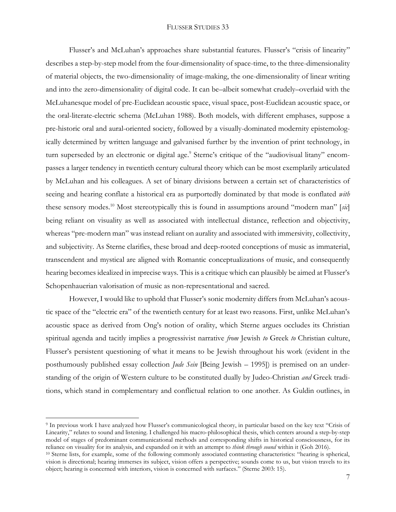Flusser's and McLuhan's approaches share substantial features. Flusser's "crisis of linearity" describes a step-by-step model from the four-dimensionality of space-time, to the three-dimensionality of material objects, the two-dimensionality of image-making, the one-dimensionality of linear writing and into the zero-dimensionality of digital code. It can be–albeit somewhat crudely–overlaid with the McLuhanesque model of pre-Euclidean acoustic space, visual space, post-Euclidean acoustic space, or the oral-literate-electric schema (McLuhan 1988). Both models, with different emphases, suppose a pre-historic oral and aural-oriented society, followed by a visually-dominated modernity epistemologically determined by written language and galvanised further by the invention of print technology, in turn superseded by an electronic or digital age.<sup>9</sup> Sterne's critique of the "audiovisual litany" encompasses a larger tendency in twentieth century cultural theory which can be most exemplarily articulated by McLuhan and his colleagues. A set of binary divisions between a certain set of characteristics of seeing and hearing conflate a historical era as purportedly dominated by that mode is conflated *with* these sensory modes.<sup>10</sup> Most stereotypically this is found in assumptions around "modern man" [*sic*] being reliant on visuality as well as associated with intellectual distance, reflection and objectivity, whereas "pre-modern man" was instead reliant on aurality and associated with immersivity, collectivity, and subjectivity. As Sterne clarifies, these broad and deep-rooted conceptions of music as immaterial, transcendent and mystical are aligned with Romantic conceptualizations of music, and consequently hearing becomes idealized in imprecise ways. This is a critique which can plausibly be aimed at Flusser's Schopenhauerian valorisation of music as non-representational and sacred.

However, I would like to uphold that Flusser's sonic modernity differs from McLuhan's acoustic space of the "electric era" of the twentieth century for at least two reasons. First, unlike McLuhan's acoustic space as derived from Ong's notion of orality, which Sterne argues occludes its Christian spiritual agenda and tacitly implies a progressivist narrative *from* Jewish *to* Greek *to* Christian culture, Flusser's persistent questioning of what it means to be Jewish throughout his work (evident in the posthumously published essay collection *Jude Sein* [Being Jewish – 1995]) is premised on an understanding of the origin of Western culture to be constituted dually by Judeo-Christian *and* Greek traditions, which stand in complementary and conflictual relation to one another. As Guldin outlines, in

 $\overline{a}$ 

<sup>&</sup>lt;sup>9</sup> In previous work I have analyzed how Flusser's communicological theory, in particular based on the key text "Crisis of Linearity," relates to sound and listening. I challenged his macro-philosophical thesis, which centers around a step-by-step model of stages of predominant communicational methods and corresponding shifts in historical consciousness, for its reliance on visuality for its analysis, and expanded on it with an attempt to *think through sound* within it (Goh 2016).

<sup>&</sup>lt;sup>10</sup> Sterne lists, for example, some of the following commonly associated contrasting characteristics: "hearing is spherical, vision is directional; hearing immerses its subject, vision offers a perspective; sounds come to us, but vision travels to its object; hearing is concerned with interiors, vision is concerned with surfaces." (Sterne 2003: 15).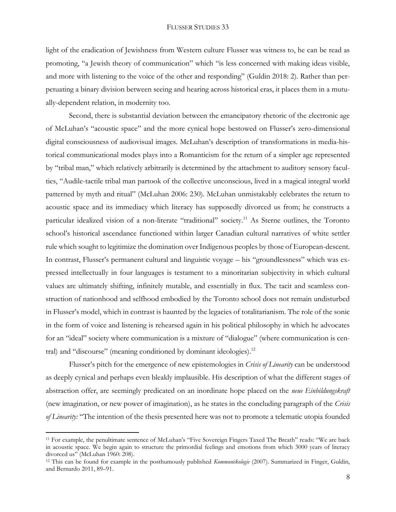light of the eradication of Jewishness from Western culture Flusser was witness to, he can be read as promoting, "a Jewish theory of communication" which "is less concerned with making ideas visible, and more with listening to the voice of the other and responding" (Guldin 2018: 2). Rather than perpetuating a binary division between seeing and hearing across historical eras, it places them in a mutually-dependent relation, in modernity too.

Second, there is substantial deviation between the emancipatory rhetoric of the electronic age of McLuhan's "acoustic space" and the more cynical hope bestowed on Flusser's zero-dimensional digital consciousness of audiovisual images. McLuhan's description of transformations in media-historical communicational modes plays into a Romanticism for the return of a simpler age represented by "tribal man," which relatively arbitrarily is determined by the attachment to auditory sensory faculties, "Audile-tactile tribal man partook of the collective unconscious, lived in a magical integral world patterned by myth and ritual" (McLuhan 2006: 230). McLuhan unmistakably celebrates the return to acoustic space and its immediacy which literacy has supposedly divorced us from; he constructs a particular idealized vision of a non-literate "traditional" society.<sup>11</sup> As Sterne outlines, the Toronto school's historical ascendance functioned within larger Canadian cultural narratives of white settler rule which sought to legitimize the domination over Indigenous peoples by those of European-descent. In contrast, Flusser's permanent cultural and linguistic voyage – his "groundlessness" which was expressed intellectually in four languages is testament to a minoritarian subjectivity in which cultural values are ultimately shifting, infinitely mutable, and essentially in flux. The tacit and seamless construction of nationhood and selfhood embodied by the Toronto school does not remain undisturbed in Flusser's model, which in contrast is haunted by the legacies of totalitarianism. The role of the sonic in the form of voice and listening is rehearsed again in his political philosophy in which he advocates for an "ideal" society where communication is a mixture of "dialogue" (where communication is central) and "discourse" (meaning conditioned by dominant ideologies).<sup>12</sup>

Flusser's pitch for the emergence of new epistemologies in *Crisis of Linearity* can be understood as deeply cynical and perhaps even bleakly implausible. His description of what the different stages of abstraction offer, are seemingly predicated on an inordinate hope placed on the *neue Einbildungskraft*  (new imagination, or new power of imagination), as he states in the concluding paragraph of the *Crisis of Linearity:* "The intention of the thesis presented here was not to promote a telematic utopia founded

l

<sup>11</sup> For example, the penultimate sentence of McLuhan's "Five Sovereign Fingers Taxed The Breath" reads: "We are back in acoustic space. We begin again to structure the primordial feelings and emotions from which 3000 years of literacy divorced us" (McLuhan 1960: 208).

<sup>12</sup> This can be found for example in the posthumously published *Kommunikologie* (2007). Summarized in Finger, Guldin, and Bernardo 2011, 89–91.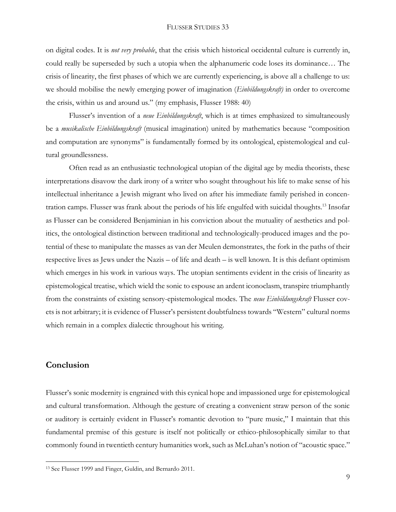on digital codes. It is *not very probable*, that the crisis which historical occidental culture is currently in, could really be superseded by such a utopia when the alphanumeric code loses its dominance… The crisis of linearity, the first phases of which we are currently experiencing, is above all a challenge to us: we should mobilise the newly emerging power of imagination (*Einbildungskraft)* in order to overcome the crisis, within us and around us." (my emphasis, Flusser 1988: 40)

Flusser's invention of a *neue Einbildungskraft*, which is at times emphasized to simultaneously be a *musikalische Einbildungskraft* (musical imagination) united by mathematics because "composition and computation are synonyms" is fundamentally formed by its ontological, epistemological and cultural groundlessness.

Often read as an enthusiastic technological utopian of the digital age by media theorists, these interpretations disavow the dark irony of a writer who sought throughout his life to make sense of his intellectual inheritance a Jewish migrant who lived on after his immediate family perished in concentration camps. Flusser was frank about the periods of his life engulfed with suicidal thoughts.<sup>13</sup> Insofar as Flusser can be considered Benjaminian in his conviction about the mutuality of aesthetics and politics, the ontological distinction between traditional and technologically-produced images and the potential of these to manipulate the masses as van der Meulen demonstrates, the fork in the paths of their respective lives as Jews under the Nazis – of life and death – is well known. It is this defiant optimism which emerges in his work in various ways. The utopian sentiments evident in the crisis of linearity as epistemological treatise, which wield the sonic to espouse an ardent iconoclasm, transpire triumphantly from the constraints of existing sensory-epistemological modes. The *neue Einbildungskraft* Flusser covets is not arbitrary; it is evidence of Flusser's persistent doubtfulness towards "Western" cultural norms which remain in a complex dialectic throughout his writing.

# **Conclusion**

l

Flusser's sonic modernity is engrained with this cynical hope and impassioned urge for epistemological and cultural transformation. Although the gesture of creating a convenient straw person of the sonic or auditory is certainly evident in Flusser's romantic devotion to "pure music," I maintain that this fundamental premise of this gesture is itself not politically or ethico-philosophically similar to that commonly found in twentieth century humanities work, such as McLuhan's notion of "acoustic space."

<sup>13</sup> See Flusser 1999 and Finger, Guldin, and Bernardo 2011.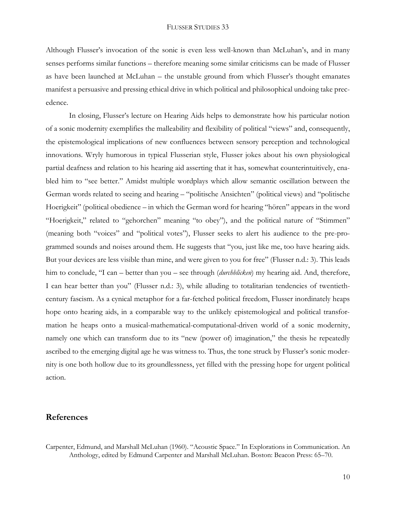Although Flusser's invocation of the sonic is even less well-known than McLuhan's, and in many senses performs similar functions – therefore meaning some similar criticisms can be made of Flusser as have been launched at McLuhan – the unstable ground from which Flusser's thought emanates manifest a persuasive and pressing ethical drive in which political and philosophical undoing take precedence.

In closing, Flusser's lecture on Hearing Aids helps to demonstrate how his particular notion of a sonic modernity exemplifies the malleability and flexibility of political "views" and, consequently, the epistemological implications of new confluences between sensory perception and technological innovations. Wryly humorous in typical Flusserian style, Flusser jokes about his own physiological partial deafness and relation to his hearing aid asserting that it has, somewhat counterintuitively, enabled him to "see better." Amidst multiple wordplays which allow semantic oscillation between the German words related to seeing and hearing – "politische Ansichten" (political views) and "politische Hoerigkeit" (political obedience – in which the German word for hearing "hören" appears in the word "Hoerigkeit," related to "gehorchen" meaning "to obey"), and the political nature of "Stimmen" (meaning both "voices" and "political votes"), Flusser seeks to alert his audience to the pre-programmed sounds and noises around them. He suggests that "you, just like me, too have hearing aids. But your devices are less visible than mine, and were given to you for free" (Flusser n.d.: 3). This leads him to conclude, "I can – better than you – see through (*durchblicken*) my hearing aid. And, therefore, I can hear better than you" (Flusser n.d.: 3), while alluding to totalitarian tendencies of twentiethcentury fascism. As a cynical metaphor for a far-fetched political freedom, Flusser inordinately heaps hope onto hearing aids, in a comparable way to the unlikely epistemological and political transformation he heaps onto a musical-mathematical-computational-driven world of a sonic modernity, namely one which can transform due to its "new (power of) imagination," the thesis he repeatedly ascribed to the emerging digital age he was witness to. Thus, the tone struck by Flusser's sonic modernity is one both hollow due to its groundlessness, yet filled with the pressing hope for urgent political action.

## **References**

Carpenter, Edmund, and Marshall McLuhan (1960). "Acoustic Space." In Explorations in Communication. An Anthology, edited by Edmund Carpenter and Marshall McLuhan. Boston: Beacon Press: 65–70.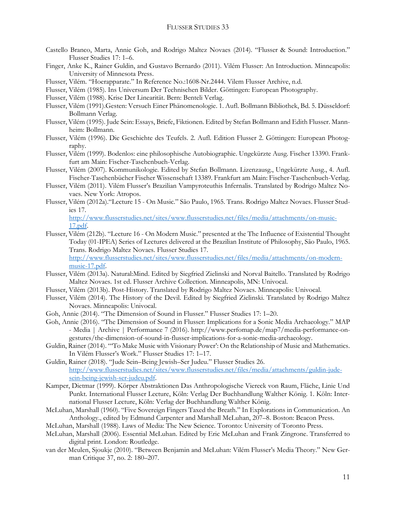- Castello Branco, Marta, Annie Goh, and Rodrigo Maltez Novaes (2014). "Flusser & Sound: Introduction." Flusser Studies 17: 1–6.
- Finger, Anke K., Rainer Guldin, and Gustavo Bernardo (2011). Vilém Flusser: An Introduction. Minneapolis: University of Minnesota Press.
- Flusser, Vilém. "Hoerapparate." In Reference No.:1608-Nr.2444. Vilem Flusser Archive, n.d.
- Flusser, Vilém (1985). Ins Universum Der Technischen Bilder. Göttingen: European Photography.
- Flusser, Vilém (1988). Krise Der Linearität. Bern: Benteli Verlag.
- Flusser, Vilém (1991).Gesten: Versuch Einer Phänomenologie. 1. Aufl. Bollmann Bibliothek, Bd. 5. Düsseldorf: Bollmann Verlag.
- Flusser, Vilém (1995). Jude Sein: Essays, Briefe, Fiktionen. Edited by Stefan Bollmann and Edith Flusser. Mannheim: Bollmann.
- Flusser, Vilém (1996). Die Geschichte des Teufels. 2. Aufl. Edition Flusser 2. Göttingen: European Photography.
- Flusser, Vilém (1999). Bodenlos: eine philosophische Autobiographie. Ungekürzte Ausg. Fischer 13390. Frankfurt am Main: Fischer-Taschenbuch-Verlag.
- Flusser, Vilém (2007). Kommunikologie. Edited by Stefan Bollmann. Lizenzausg., Ungekürzte Ausg., 4. Aufl. Fischer-Taschenbücher Fischer Wissenschaft 13389. Frankfurt am Main: Fischer-Taschenbuch-Verlag.
- Flusser, Vilém (2011). Vilém Flusser's Brazilian Vampyroteuthis Infernalis. Translated by Rodrigo Maltez Novaes. New York: Atropos.
- Flusser, Vilém (2012a)."Lecture 15 On Music." São Paulo, 1965. Trans. Rodrigo Maltez Novaes. Flusser Studies 17.

[http://www.flusserstudies.net/sites/www.flusserstudies.net/files/media/attachments/on-music-](http://www.flusserstudies.net/sites/www.flusserstudies.net/files/media/attachments/on-music-17.pdf)[17.pdf.](http://www.flusserstudies.net/sites/www.flusserstudies.net/files/media/attachments/on-music-17.pdf)

Flusser, Vilém (212b). "Lecture 16 - On Modern Music." presented at the The Influence of Existential Thought Today (01-IPEA) Series of Lectures delivered at the Brazilian Institute of Philosophy, São Paulo, 1965. Trans. Rodrigo Maltez Novaes. Flusser Studies 17. [http://www.flusserstudies.net/sites/www.flusserstudies.net/files/media/attachments/on-modern-](http://www.flusserstudies.net/sites/www.flusserstudies.net/files/media/attachments/on-modern-music-17.pdf)

[music-17.pdf.](http://www.flusserstudies.net/sites/www.flusserstudies.net/files/media/attachments/on-modern-music-17.pdf) Flusser, Vilém (2013a). Natural:Mind. Edited by Siegfried Zielinski and Norval Baitello. Translated by Rodrigo

- Maltez Novaes. 1st ed. Flusser Archive Collection. Minneapolis, MN: Univocal.
- Flusser, Vilém (2013b). Post-History. Translated by Rodrigo Maltez Novaes. Minneapolis: Univocal.
- Flusser, Vilém (2014). The History of the Devil. Edited by Siegfried Zielinski. Translated by Rodrigo Maltez Novaes. Minneapolis: Univocal.
- Goh, Annie (2014). "The Dimension of Sound in Flusser." Flusser Studies 17: 1–20.
- Goh, Annie (2016). "The Dimension of Sound in Flusser: Implications for a Sonic Media Archaeology." MAP - Media | Archive | Performance 7 (2016). http://www.perfomap.de/map7/media-performance-ongestures/the-dimension-of-sound-in-flusser-implications-for-a-sonic-media-archaeology.
- Guldin, Rainer (2014). "'To Make Music with Visionary Power': On the Relationship of Music and Mathematics. In Vilém Flusser's Work." Flusser Studies 17: 1–17.
- Guldin, Rainer (2018). "Jude Sein–Being Jewish–Ser Judeu." Flusser Studies 26. [http://www.flusserstudies.net/sites/www.flusserstudies.net/files/media/attachments/guldin-jude](http://www.flusserstudies.net/sites/www.flusserstudies.net/files/media/attachments/guldin-jude-sein-being-jewish-ser-judeu.pdf)[sein-being-jewish-ser-judeu.pdf.](http://www.flusserstudies.net/sites/www.flusserstudies.net/files/media/attachments/guldin-jude-sein-being-jewish-ser-judeu.pdf)
- Kamper, Dietmar (1999). Körper Abstraktionen Das Anthropologische Viereck von Raum, Fläche, Linie Und Punkt. International Flusser Lecture, Köln: Verlag Der Buchhandlung Walther König. 1. Köln: International Flusser Lecture, Köln: Verlag der Buchhandlung Walther König.
- McLuhan, Marshall (1960). "Five Sovereign Fingers Taxed the Breath." In Explorations in Communication. An Anthology., edited by Edmund Carpenter and Marshall McLuhan, 207–8. Boston: Beacon Press.
- McLuhan, Marshall (1988). Laws of Media: The New Science. Toronto: University of Toronto Press.
- McLuhan, Marshall (2006). Essential McLuhan. Edited by Eric McLuhan and Frank Zingrone. Transferred to digital print. London: Routledge.
- van der Meulen, Sjoukje (2010). "Between Benjamin and McLuhan: Vilém Flusser's Media Theory." New German Critique 37, no. 2: 180–207.